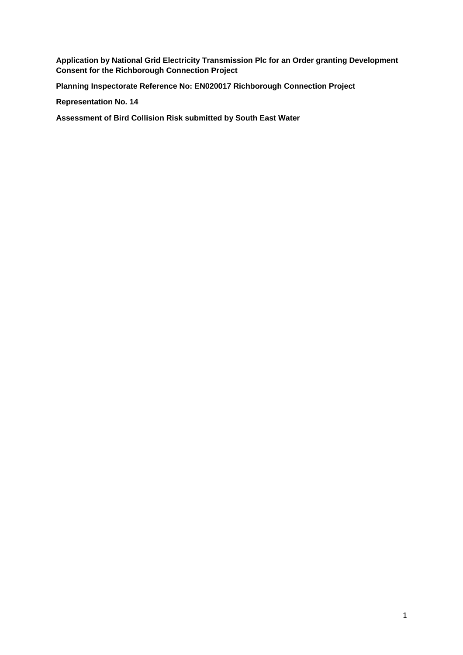**Application by National Grid Electricity Transmission Plc for an Order granting Development Consent for the Richborough Connection Project** 

**Planning Inspectorate Reference No: EN020017 Richborough Connection Project** 

**Representation No. 14** 

**Assessment of Bird Collision Risk submitted by South East Water**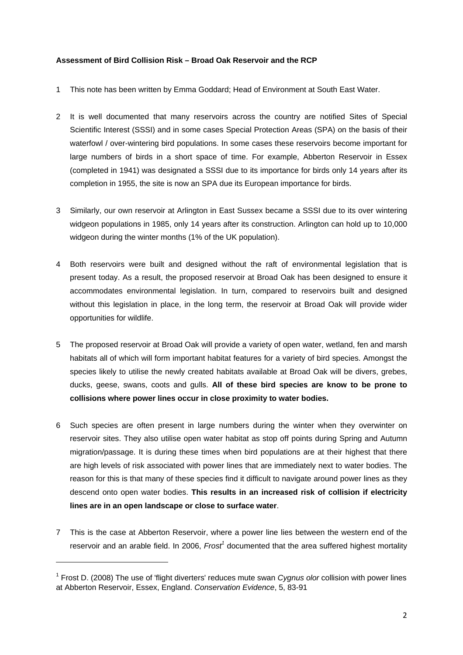## **Assessment of Bird Collision Risk – Broad Oak Reservoir and the RCP**

- 1 This note has been written by Emma Goddard; Head of Environment at South East Water.
- 2 It is well documented that many reservoirs across the country are notified Sites of Special Scientific Interest (SSSI) and in some cases Special Protection Areas (SPA) on the basis of their waterfowl / over-wintering bird populations. In some cases these reservoirs become important for large numbers of birds in a short space of time. For example, Abberton Reservoir in Essex (completed in 1941) was designated a SSSI due to its importance for birds only 14 years after its completion in 1955, the site is now an SPA due its European importance for birds.
- 3 Similarly, our own reservoir at Arlington in East Sussex became a SSSI due to its over wintering widgeon populations in 1985, only 14 years after its construction. Arlington can hold up to 10,000 widgeon during the winter months (1% of the UK population).
- 4 Both reservoirs were built and designed without the raft of environmental legislation that is present today. As a result, the proposed reservoir at Broad Oak has been designed to ensure it accommodates environmental legislation. In turn, compared to reservoirs built and designed without this legislation in place, in the long term, the reservoir at Broad Oak will provide wider opportunities for wildlife.
- 5 The proposed reservoir at Broad Oak will provide a variety of open water, wetland, fen and marsh habitats all of which will form important habitat features for a variety of bird species. Amongst the species likely to utilise the newly created habitats available at Broad Oak will be divers, grebes, ducks, geese, swans, coots and gulls. **All of these bird species are know to be prone to collisions where power lines occur in close proximity to water bodies.**
- 6 Such species are often present in large numbers during the winter when they overwinter on reservoir sites. They also utilise open water habitat as stop off points during Spring and Autumn migration/passage. It is during these times when bird populations are at their highest that there are high levels of risk associated with power lines that are immediately next to water bodies. The reason for this is that many of these species find it difficult to navigate around power lines as they descend onto open water bodies. **This results in an increased risk of collision if electricity lines are in an open landscape or close to surface water**.
- 7 This is the case at Abberton Reservoir, where a power line lies between the western end of the reservoir and an arable field. In 2006, *Frost<sup>1</sup>* documented that the area suffered highest mortality

<sup>&</sup>lt;sup>1</sup> Frost D. (2008) The use of 'flight diverters' reduces mute swan *Cygnus olor* collision with power lines at Abberton Reservoir, Essex, England. *Conservation Evidence*, 5, 83-91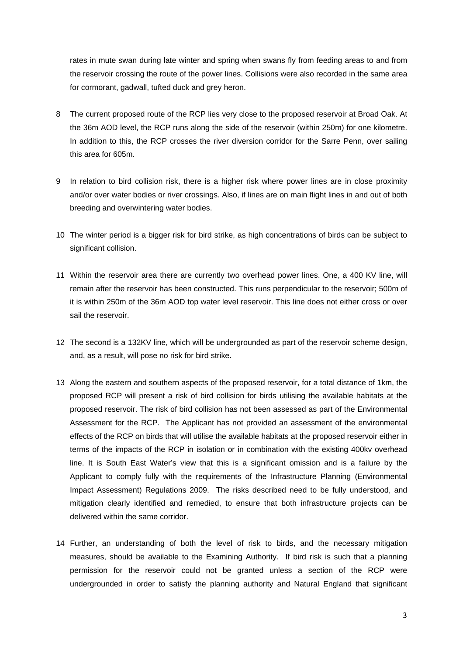rates in mute swan during late winter and spring when swans fly from feeding areas to and from the reservoir crossing the route of the power lines. Collisions were also recorded in the same area for cormorant, gadwall, tufted duck and grey heron.

- 8 The current proposed route of the RCP lies very close to the proposed reservoir at Broad Oak. At the 36m AOD level, the RCP runs along the side of the reservoir (within 250m) for one kilometre. In addition to this, the RCP crosses the river diversion corridor for the Sarre Penn, over sailing this area for 605m.
- 9 In relation to bird collision risk, there is a higher risk where power lines are in close proximity and/or over water bodies or river crossings. Also, if lines are on main flight lines in and out of both breeding and overwintering water bodies.
- 10 The winter period is a bigger risk for bird strike, as high concentrations of birds can be subject to significant collision.
- 11 Within the reservoir area there are currently two overhead power lines. One, a 400 KV line, will remain after the reservoir has been constructed. This runs perpendicular to the reservoir; 500m of it is within 250m of the 36m AOD top water level reservoir. This line does not either cross or over sail the reservoir.
- 12 The second is a 132KV line, which will be undergrounded as part of the reservoir scheme design, and, as a result, will pose no risk for bird strike.
- 13 Along the eastern and southern aspects of the proposed reservoir, for a total distance of 1km, the proposed RCP will present a risk of bird collision for birds utilising the available habitats at the proposed reservoir. The risk of bird collision has not been assessed as part of the Environmental Assessment for the RCP. The Applicant has not provided an assessment of the environmental effects of the RCP on birds that will utilise the available habitats at the proposed reservoir either in terms of the impacts of the RCP in isolation or in combination with the existing 400kv overhead line. It is South East Water's view that this is a significant omission and is a failure by the Applicant to comply fully with the requirements of the Infrastructure Planning (Environmental Impact Assessment) Regulations 2009. The risks described need to be fully understood, and mitigation clearly identified and remedied, to ensure that both infrastructure projects can be delivered within the same corridor.
- 14 Further, an understanding of both the level of risk to birds, and the necessary mitigation measures, should be available to the Examining Authority. If bird risk is such that a planning permission for the reservoir could not be granted unless a section of the RCP were undergrounded in order to satisfy the planning authority and Natural England that significant